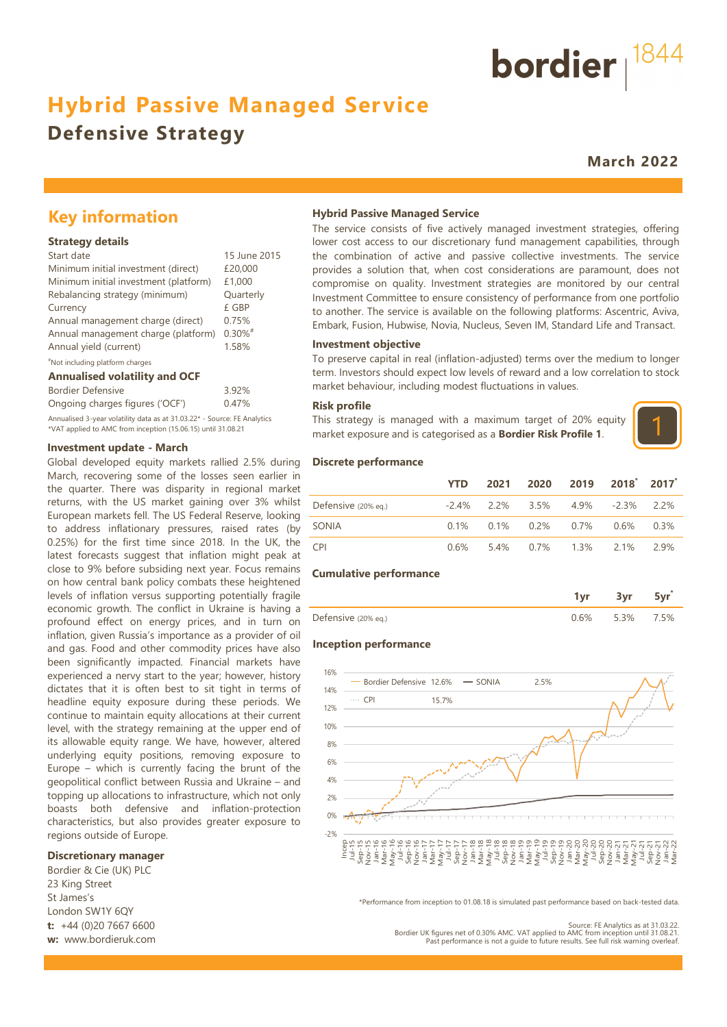# **Hybrid Passive Managed Service**

# **Defensive Strategy**

**March 2022**

bordier  $1844$ 

# **Key information**

#### **Strategy details**

| Start date                            | 15 June 2015          |
|---------------------------------------|-----------------------|
| Minimum initial investment (direct)   | £20,000               |
| Minimum initial investment (platform) | £1,000                |
| Rebalancing strategy (minimum)        | Quarterly             |
| Currency                              | £ GBP                 |
| Annual management charge (direct)     | 0.75%                 |
| Annual management charge (platform)   | $0.30\%$ <sup>#</sup> |
| Annual yield (current)                | 1.58%                 |
|                                       |                       |

#### #Not including platform charges

#### **Annualised volatility and OCF**

| <b>Bordier Defensive</b>                                                 | 3.92% |
|--------------------------------------------------------------------------|-------|
| Ongoing charges figures ('OCF')                                          | 0.47% |
| Annualised 3-year volatility data as at 31.03.22* - Source: FE Analytics |       |

\*VAT applied to AMC from inception (15.06.15) until 31.08.21

#### **Investment update - March**

Global developed equity markets rallied 2.5% during March, recovering some of the losses seen earlier in the quarter. There was disparity in regional market returns, with the US market gaining over 3% whilst European markets fell. The US Federal Reserve, looking to address inflationary pressures, raised rates (by 0.25%) for the first time since 2018. In the UK, the latest forecasts suggest that inflation might peak at close to 9% before subsiding next year. Focus remains on how central bank policy combats these heightened levels of inflation versus supporting potentially fragile economic growth. The conflict in Ukraine is having a profound effect on energy prices, and in turn on inflation, given Russia's importance as a provider of oil and gas. Food and other commodity prices have also been significantly impacted. Financial markets have experienced a nervy start to the year; however, history dictates that it is often best to sit tight in terms of headline equity exposure during these periods. We continue to maintain equity allocations at their current level, with the strategy remaining at the upper end of its allowable equity range. We have, however, altered underlying equity positions, removing exposure to Europe – which is currently facing the brunt of the geopolitical conflict between Russia and Ukraine – and topping up allocations to infrastructure, which not only boasts both defensive and inflation-protection characteristics, but also provides greater exposure to regions outside of Europe.

#### **Discretionary manager**

Bordier & Cie (UK) PLC 23 King Street St James's London SW1Y 6QY **t:** +44 (0)20 7667 6600 **w:** www.bordieruk.com

#### **Hybrid Passive Managed Service**

The service consists of five actively managed investment strategies, offering lower cost access to our discretionary fund management capabilities, through the combination of active and passive collective investments. The service provides a solution that, when cost considerations are paramount, does not compromise on quality. Investment strategies are monitored by our central Investment Committee to ensure consistency of performance from one portfolio to another. The service is available on the following platforms: Ascentric, Aviva, Embark, Fusion, Hubwise, Novia, Nucleus, Seven IM, Standard Life and Transact.

#### **Investment objective**

To preserve capital in real (inflation-adjusted) terms over the medium to longer term. Investors should expect low levels of reward and a low correlation to stock market behaviour, including modest fluctuations in values.

#### **Risk profile**

This strategy is managed with a maximum target of 20% equity market exposure and is categorised as a **Bordier Risk Profile 1**.



#### **Discrete performance**

|                     | <b>YTD</b> | 2021 | 2020 2019 2018 2017                             |  |       |
|---------------------|------------|------|-------------------------------------------------|--|-------|
| Defensive (20% eg.) |            |      | $-2.4\%$ 2.2% 3.5% 4.9% $-2.3\%$ 2.2%           |  |       |
| SONIA               |            |      | $0.1\%$ $0.1\%$ $0.2\%$ $0.7\%$ $0.6\%$ $0.3\%$ |  |       |
| <b>CPI</b>          | 0 6%       |      | 5.4% 0.7% 1.3% 2.1%                             |  | -2.9% |

#### **Cumulative performance**

| Defensive (20% eq.) | 3% | 5% |
|---------------------|----|----|

#### **Inception performance**



\*Performance from inception to 01.08.18 is simulated past performance based on back-tested data.

Source: FE Analytics as at 31.03.22.<br>Bordier UK figures net of 0.30% AMC. VAT applied to AMC from inception until 31.08.21.<br>Past performance is not a quide to future results. See full risk warning overleaf.